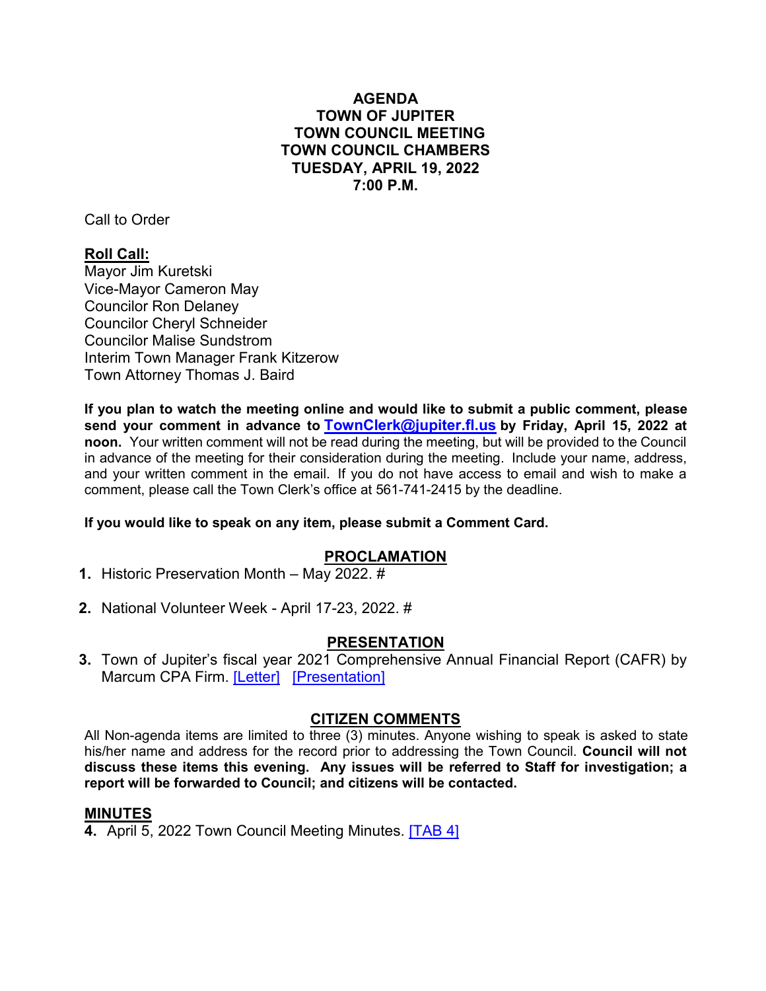# **AGENDA TOWN OF JUPITER TOWN COUNCIL MEETING TOWN COUNCIL CHAMBERS TUESDAY, APRIL 19, 2022 7:00 P.M.**

Call to Order

# **Roll Call:**

Mayor Jim Kuretski Vice-Mayor Cameron May Councilor Ron Delaney Councilor Cheryl Schneider Councilor Malise Sundstrom Interim Town Manager Frank Kitzerow Town Attorney Thomas J. Baird

**If you plan to watch the meeting online and would like to submit a public comment, please send your comment in advance to [TownClerk@jupiter.fl.us](mailto:TownClerk@jupiter.fl.us) by Friday, April 15, 2022 at noon.** Your written comment will not be read during the meeting, but will be provided to the Council in advance of the meeting for their consideration during the meeting. Include your name, address, and your written comment in the email. If you do not have access to email and wish to make a comment, please call the Town Clerk's office at 561-741-2415 by the deadline.

#### **If you would like to speak on any item, please submit a Comment Card.**

# **PROCLAMATION**

- **1.** Historic Preservation Month May 2022. #
- **2.** National Volunteer Week April 17-23, 2022. #

# **PRESENTATION**

**3.** Town of Jupiter's fiscal year 2021 Comprehensive Annual Financial Report (CAFR) by Marcum CPA Firm. [\[Letter\]](http://www.jupiter.fl.us/documentcenter/view/29892) [\[Presentation\]](http://www.jupiter.fl.us/documentcenter/view/29893)

#### **CITIZEN COMMENTS**

All Non-agenda items are limited to three (3) minutes. Anyone wishing to speak is asked to state his/her name and address for the record prior to addressing the Town Council. **Council will not discuss these items this evening. Any issues will be r[eferred t](http://www.jupiter.fl.us/documentcenter/view/29894)o Staff for investigation; a report will be forwarded to Council; and citizens will be contacted.**

# **MINUTES**

**4.** April 5, 2022 Town Council Meeting Minutes. **[\[TAB 4\]](http://www.jupiter.fl.us/documentcenter/view/29894)**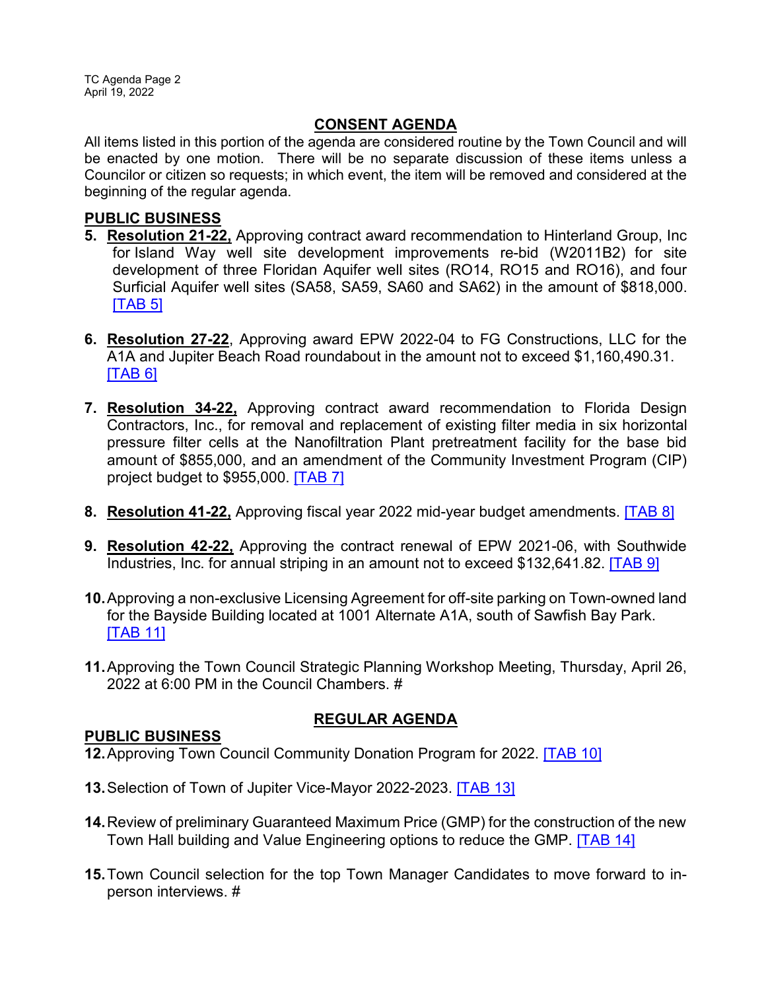TC Agenda Page 2 April 19, 2022

# **CONSENT AGENDA**

All items listed in this portion of the agenda are considered routine by the Town Council and will be enacted by one motion. There will be no separate discussion of these items unless a Councilor or citizen so requests; in which event, the item will be removed and considered at the beginning of the regular agenda.

#### **PUBLIC BUSINESS**

- **5. Resolution 21-22,** Approving contract award recommendation to Hinterland Group, Inc for Island Way well site development improvements re-bid (W2011B2) for site development of three Floridan Aquifer well sites (RO14, RO15 and RO16), and four Surficial Aquifer well sites (SA58, SA59, SA60 and SA62) in the amount of \$818,000. **ITAB 51**
- **6. Resolution 27-22**, Approving award EPW 2022-04 to FG Constructions, LLC for the A1A and Jupiter Beach Road roundabout in the amount not to exceed \$1,160,490.31.  $[TAB 6]$
- **7. Resolution 34-22,** Approving contract award recommendation to Florida Design Contractors, Inc., for removal and replacement of existing filter media in six horizontal pressure filter cells at the Nanofiltration Plant pretreatment facility for the base bid amount of \$855,000, and an amendment of the Community Investment Program (CIP) project budget to \$955,000. [\[TAB 7\]](http://www.jupiter.fl.us/documentcenter/view/29897)
- **8. Resolution 41-22,** Approving fiscal year 2022 mid-year budget amendments. [\[TAB 8\]](http://www.jupiter.fl.us/documentcenter/view/29898)
- **9. Resolution 42-22,** Approving the contract renewal of EPW 2021-06, with Southwide Industries, Inc. for annual striping in an amount not to exceed \$132,641.82. [\[TAB 9\]](http://www.jupiter.fl.us/documentcenter/view/29899)
- **10.**Approving a non-exclusive Licensing Agreement for off-site parking on Town-owned land for the Bayside Building located at 1001 Alternate A1A, south of Sawfish Bay Park. [\[TAB 11\]](http://www.jupiter.fl.us/documentcenter/view/29901)
- **11.**Approving the Town Council Strategic Planning Workshop Meeting, Thursday, April 26, 2022 at 6:00 PM in the Council Chambers. #

# **REGULAR AGENDA**

# **PUBLIC BUSINESS**

**12.**Approving Town Council Community Donation Program for 2022. [\[TAB 10\]](http://www.jupiter.fl.us/documentcenter/view/29900)

- **13.**Selection of Town of Jupiter Vice-Mayor 2022-2023. [\[TAB 13\]](http://www.jupiter.fl.us/documentcenter/view/29902)
- **14.**Review of preliminary Guaranteed Maximum Price (GMP) for the construction of the new Town Hall building and Value Engineering options to reduce the GMP. [\[TAB 14\]](http://www.jupiter.fl.us/documentcenter/view/29903)
- **15.**Town Council selection for the top Town Manager Candidates to move forward to inperson interviews. #